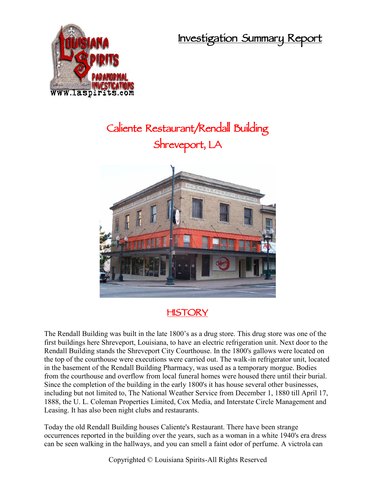**Investigation Summary Report**



## **Caliente Restaurant/Rendall Building Shreveport, LA**



## **HISTORY**

The Rendall Building was built in the late 1800's as a drug store. This drug store was one of the first buildings here Shreveport, Louisiana, to have an electric refrigeration unit. Next door to the Rendall Building stands the Shreveport City Courthouse. In the 1800's gallows were located on the top of the courthouse were executions were carried out. The walk-in refrigerator unit, located in the basement of the Rendall Building Pharmacy, was used as a temporary morgue. Bodies from the courthouse and overflow from local funeral homes were housed there until their burial. Since the completion of the building in the early 1800's it has house several other businesses, including but not limited to, The National Weather Service from December 1, 1880 till April 17, 1888, the U. L. Coleman Properties Limited, Cox Media, and Interstate Circle Management and Leasing. It has also been night clubs and restaurants.

Today the old Rendall Building houses Caliente's Restaurant. There have been strange occurrences reported in the building over the years, such as a woman in a white 1940's era dress can be seen walking in the hallways, and you can smell a faint odor of perfume. A victrola can

Copyrighted © Louisiana Spirits-All Rights Reserved